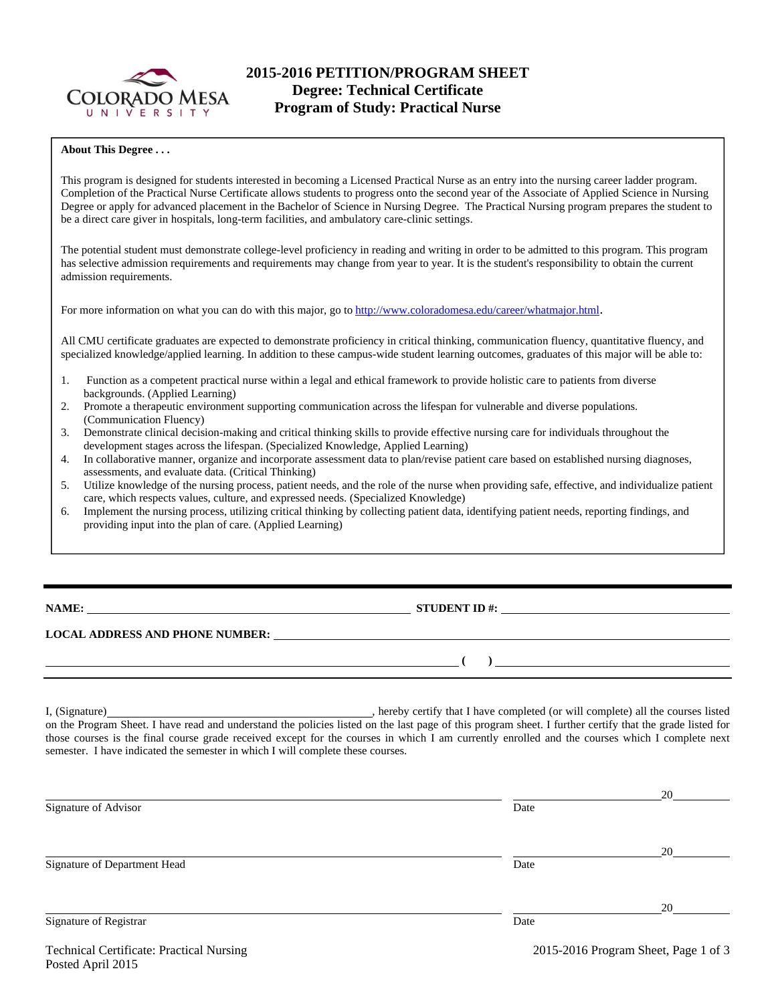

# **2015-2016 PETITION/PROGRAM SHEET Degree: Technical Certificate Program of Study: Practical Nurse**

#### **About This Degree . . .**

This program is designed for students interested in becoming a Licensed Practical Nurse as an entry into the nursing career ladder program. Completion of the Practical Nurse Certificate allows students to progress onto the second year of the Associate of Applied Science in Nursing Degree or apply for advanced placement in the Bachelor of Science in Nursing Degree. The Practical Nursing program prepares the student to be a direct care giver in hospitals, long-term facilities, and ambulatory care-clinic settings.

The potential student must demonstrate college-level proficiency in reading and writing in order to be admitted to this program. This program has selective admission requirements and requirements may change from year to year. It is the student's responsibility to obtain the current admission requirements.

For more information on what you can do with this major, go to http://www.coloradomesa.edu/career/whatmajor.html.

All CMU certificate graduates are expected to demonstrate proficiency in critical thinking, communication fluency, quantitative fluency, and specialized knowledge/applied learning. In addition to these campus-wide student learning outcomes, graduates of this major will be able to:

- 1. Function as a competent practical nurse within a legal and ethical framework to provide holistic care to patients from diverse backgrounds. (Applied Learning)
- 2. Promote a therapeutic environment supporting communication across the lifespan for vulnerable and diverse populations. (Communication Fluency)
- 3. Demonstrate clinical decision-making and critical thinking skills to provide effective nursing care for individuals throughout the development stages across the lifespan. (Specialized Knowledge, Applied Learning)
- 4. In collaborative manner, organize and incorporate assessment data to plan/revise patient care based on established nursing diagnoses, assessments, and evaluate data. (Critical Thinking)
- 5. Utilize knowledge of the nursing process, patient needs, and the role of the nurse when providing safe, effective, and individualize patient care, which respects values, culture, and expressed needs. (Specialized Knowledge)
- Implement the nursing process, utilizing critical thinking by collecting patient data, identifying patient needs, reporting findings, and providing input into the plan of care. (Applied Learning)

**NAME: STUDENT ID #:**

 **( )** 

### **LOCAL ADDRESS AND PHONE NUMBER:**

I, (Signature) , hereby certify that I have completed (or will complete) all the courses listed on the Program Sheet. I have read and understand the policies listed on the last page of this program sheet. I further certify that the grade listed for those courses is the final course grade received except for the courses in which I am currently enrolled and the courses which I complete next semester. I have indicated the semester in which I will complete these courses.

|                              |      | 20 |
|------------------------------|------|----|
| Signature of Advisor         | Date |    |
|                              |      | 20 |
| Signature of Department Head | Date |    |
|                              |      | 20 |
| Signature of Registrar       | Date |    |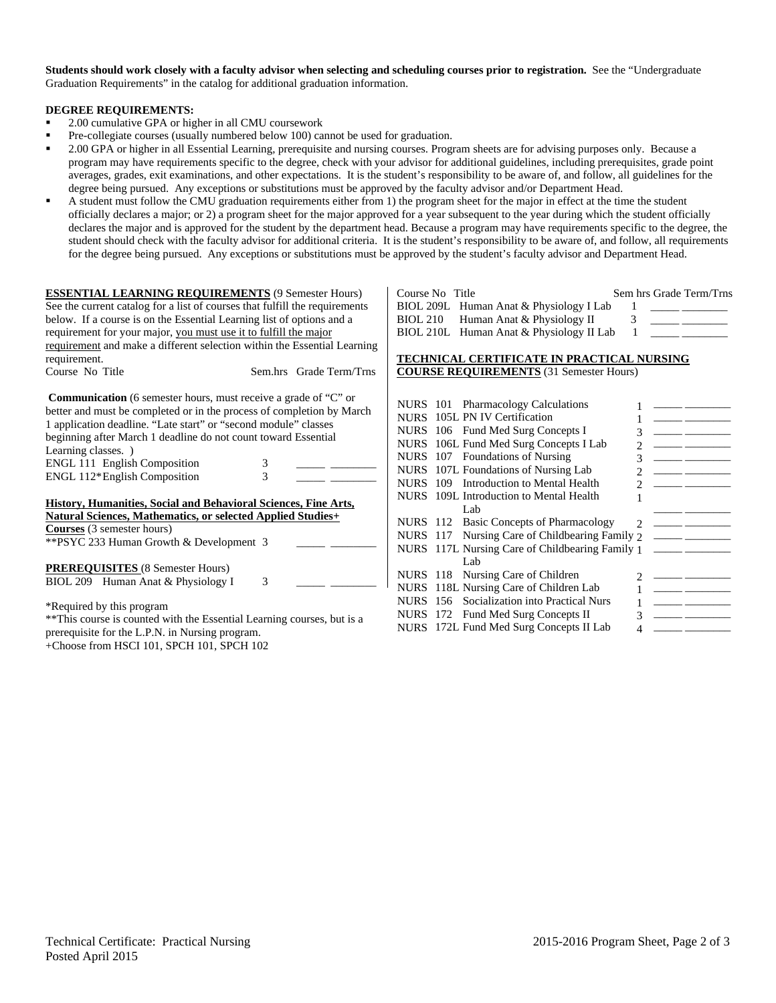**Students should work closely with a faculty advisor when selecting and scheduling courses prior to registration.** See the "Undergraduate Graduation Requirements" in the catalog for additional graduation information.

#### **DEGREE REQUIREMENTS:**

- <sup>2</sup> 2.00 cumulative GPA or higher in all CMU coursework
- Pre-collegiate courses (usually numbered below 100) cannot be used for graduation.
- 2.00 GPA or higher in all Essential Learning, prerequisite and nursing courses. Program sheets are for advising purposes only. Because a program may have requirements specific to the degree, check with your advisor for additional guidelines, including prerequisites, grade point averages, grades, exit examinations, and other expectations. It is the student's responsibility to be aware of, and follow, all guidelines for the degree being pursued. Any exceptions or substitutions must be approved by the faculty advisor and/or Department Head.
- A student must follow the CMU graduation requirements either from 1) the program sheet for the major in effect at the time the student officially declares a major; or 2) a program sheet for the major approved for a year subsequent to the year during which the student officially declares the major and is approved for the student by the department head. Because a program may have requirements specific to the degree, the student should check with the faculty advisor for additional criteria. It is the student's responsibility to be aware of, and follow, all requirements for the degree being pursued. Any exceptions or substitutions must be approved by the student's faculty advisor and Department Head.

| <b>ESSENTIAL LEARNING REQUIREMENTS (9 Semester Hours)</b>                                                                                                                                                                                                                                                                                                                                          | Sem hrs Grade Term/Trns<br>Course No<br>Title                                                                                                                                                                                                                                                                                                                                                    |
|----------------------------------------------------------------------------------------------------------------------------------------------------------------------------------------------------------------------------------------------------------------------------------------------------------------------------------------------------------------------------------------------------|--------------------------------------------------------------------------------------------------------------------------------------------------------------------------------------------------------------------------------------------------------------------------------------------------------------------------------------------------------------------------------------------------|
| See the current catalog for a list of courses that fulfill the requirements                                                                                                                                                                                                                                                                                                                        | <b>BIOL 209L</b><br>Human Anat & Physiology I Lab                                                                                                                                                                                                                                                                                                                                                |
| below. If a course is on the Essential Learning list of options and a                                                                                                                                                                                                                                                                                                                              | 3<br><b>BIOL 210</b><br>Human Anat & Physiology II                                                                                                                                                                                                                                                                                                                                               |
| requirement for your major, you must use it to fulfill the major                                                                                                                                                                                                                                                                                                                                   | BIOL 210L Human Anat & Physiology II Lab                                                                                                                                                                                                                                                                                                                                                         |
| requirement and make a different selection within the Essential Learning                                                                                                                                                                                                                                                                                                                           |                                                                                                                                                                                                                                                                                                                                                                                                  |
| requirement.                                                                                                                                                                                                                                                                                                                                                                                       | <b>TECHNICAL CERTIFICATE IN PRACTICAL NURSING</b>                                                                                                                                                                                                                                                                                                                                                |
| Course No Title<br>Sem.hrs Grade Term/Trns                                                                                                                                                                                                                                                                                                                                                         | <b>COURSE REQUIREMENTS</b> (31 Semester Hours)                                                                                                                                                                                                                                                                                                                                                   |
| <b>Communication</b> (6 semester hours, must receive a grade of "C" or<br>better and must be completed or in the process of completion by March<br>1 application deadline. "Late start" or "second module" classes<br>beginning after March 1 deadline do not count toward Essential<br>Learning classes. )<br>ENGL 111 English Composition<br>3<br>$\overline{3}$<br>ENGL 112*English Composition | NURS 101 Pharmacology Calculations<br>105L PN IV Certification<br><b>NURS</b><br>the company of the company<br>NURS 106 Fund Med Surg Concepts I<br>106L Fund Med Surg Concepts I Lab<br><b>NURS</b><br>107 Foundations of Nursing<br><b>NURS</b><br>107L Foundations of Nursing Lab<br><b>NURS</b><br><u> 1999 - Jan Barn Barns, man</u><br>Introduction to Mental Health<br><b>NURS</b><br>109 |
| History, Humanities, Social and Behavioral Sciences, Fine Arts,                                                                                                                                                                                                                                                                                                                                    | NURS 109L Introduction to Mental Health<br>Lab                                                                                                                                                                                                                                                                                                                                                   |
| Natural Sciences, Mathematics, or selected Applied Studies+                                                                                                                                                                                                                                                                                                                                        | <b>Basic Concepts of Pharmacology</b><br><b>NURS</b> 112                                                                                                                                                                                                                                                                                                                                         |
| <b>Courses</b> (3 semester hours)                                                                                                                                                                                                                                                                                                                                                                  | NURS 117 Nursing Care of Childbearing Family 2                                                                                                                                                                                                                                                                                                                                                   |
| ** PSYC 233 Human Growth & Development 3                                                                                                                                                                                                                                                                                                                                                           | NURS 117L Nursing Care of Childbearing Family 1                                                                                                                                                                                                                                                                                                                                                  |
|                                                                                                                                                                                                                                                                                                                                                                                                    | Lab                                                                                                                                                                                                                                                                                                                                                                                              |
| <b>PREREQUISITES</b> (8 Semester Hours)<br>3                                                                                                                                                                                                                                                                                                                                                       | NURS 118 Nursing Care of Children                                                                                                                                                                                                                                                                                                                                                                |
| BIOL 209 Human Anat & Physiology I                                                                                                                                                                                                                                                                                                                                                                 | 118L Nursing Care of Children Lab<br><b>NURS</b><br><u> 1989 - John Barn Barn, mars a</u>                                                                                                                                                                                                                                                                                                        |
|                                                                                                                                                                                                                                                                                                                                                                                                    | Socialization into Practical Nurs<br><b>NURS</b><br>156                                                                                                                                                                                                                                                                                                                                          |
| *Required by this program                                                                                                                                                                                                                                                                                                                                                                          | 172 Fund Med Surg Concepts II<br><b>NURS</b><br><u> 1999 - Jan Barnett, fransk politiker</u>                                                                                                                                                                                                                                                                                                     |
| ** This course is counted with the Essential Learning courses, but is a                                                                                                                                                                                                                                                                                                                            | 172L Fund Med Surg Concepts II Lab<br><b>NURS</b>                                                                                                                                                                                                                                                                                                                                                |
| prerequisite for the L.P.N. in Nursing program.<br>+Choose from HSCI 101, SPCH 101, SPCH 102                                                                                                                                                                                                                                                                                                       |                                                                                                                                                                                                                                                                                                                                                                                                  |